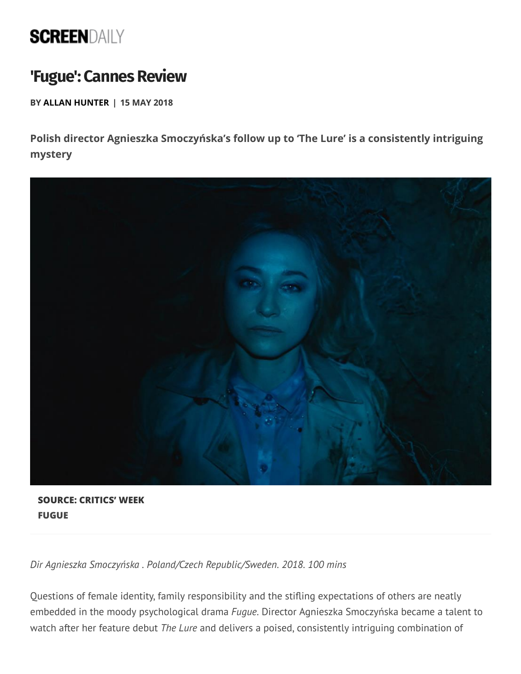## **SCREENDAILY**

## **'Fugue': Cannes Review**

**BY ALLAN HUNTER | 15 MAY 2018**

**Polish director Agnieszka Smoczyńska's follow up to 'The Lure' is a consistently intriguing mystery**



**SOURCE: CRITICS' WEEK FUGUE**

*Dir Agnieszka Smoczyńska . Poland/Czech Republic/Sweden. 2018. 100 mins*

Questions of female identity, family responsibility and the stifling expectations of others are neatly embedded in the moody psychological drama *Fugue*. Director Agnieszka Smoczyńska became a talent to watch after her feature debut *The Lure* and delivers a poised, consistently intriguing combination of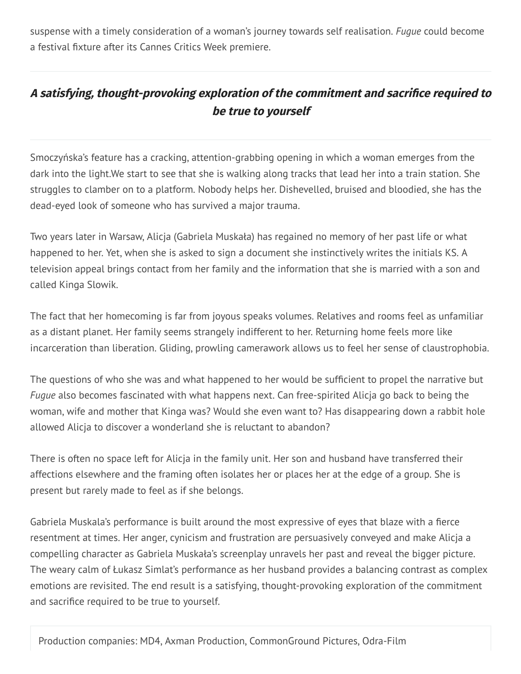suspense with a timely consideration of a woman's journey towards self realisation. *Fugue* could become a festival fixture after its Cannes Critics Week premiere.

## **<sup>A</sup> satisfying, thought-provoking exploration of the commitment and sacrice required to be true to yourself**

Smoczyńska's feature has a cracking, attention-grabbing opening in which a woman emerges from the dark into the light.We start to see that she is walking along tracks that lead her into a train station. She struggles to clamber on to a platform. Nobody helps her. Dishevelled, bruised and bloodied, she has the dead-eyed look of someone who has survived a major trauma.

Two years later in Warsaw, Alicja (Gabriela Muskała) has regained no memory of her past life or what happened to her. Yet, when she is asked to sign a document she instinctively writes the initials KS. A television appeal brings contact from her family and the information that she is married with a son and called Kinga Slowik.

The fact that her homecoming is far from joyous speaks volumes. Relatives and rooms feel as unfamiliar as a distant planet. Her family seems strangely indifferent to her. Returning home feels more like incarceration than liberation. Gliding, prowling camerawork allows us to feel her sense of claustrophobia.

The questions of who she was and what happened to her would be sufficient to propel the narrative but *Fugue* also becomes fascinated with what happens next. Can free-spirited Alicja go back to being the woman, wife and mother that Kinga was? Would she even want to? Has disappearing down a rabbit hole allowed Alicja to discover a wonderland she is reluctant to abandon?

There is often no space left for Alicja in the family unit. Her son and husband have transferred their affections elsewhere and the framing often isolates her or places her at the edge of a group. She is present but rarely made to feel as if she belongs.

Gabriela Muskala's performance is built around the most expressive of eyes that blaze with a fierce resentment at times. Her anger, cynicism and frustration are persuasively conveyed and make Alicja a compelling character as Gabriela Muskała's screenplay unravels her past and reveal the bigger picture. The weary calm of Łukasz Simlat's performance as her husband provides a balancing contrast as complex emotions are revisited. The end result is a satisfying, thought-provoking exploration of the commitment and sacrifice required to be true to yourself.